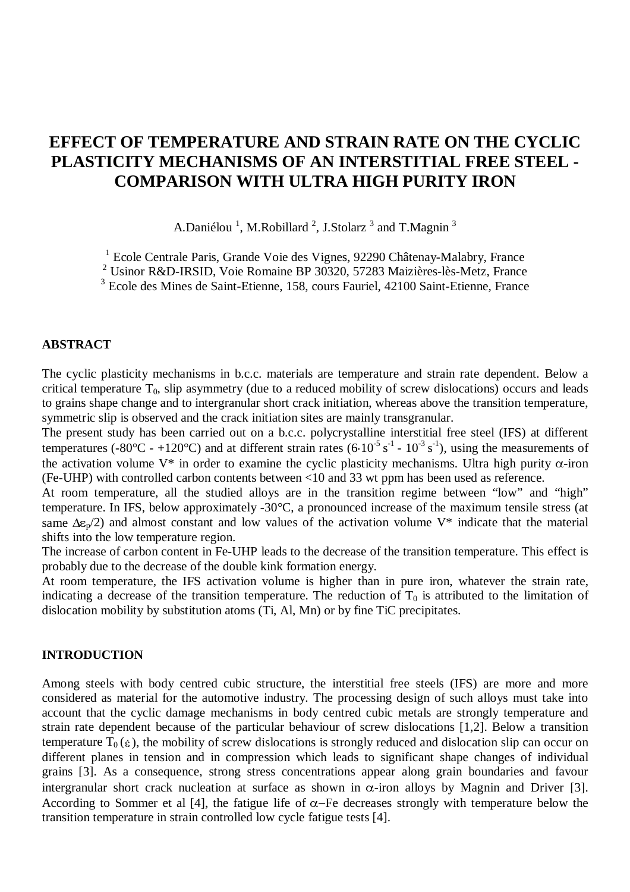# **EFFECT OF TEMPERATURE AND STRAIN RATE ON THE CYCLIC PLASTICITY MECHANISMS OF AN INTERSTITIAL FREE STEEL - COMPARISON WITH ULTRA HIGH PURITY IRON**

A.Daniélou<sup>1</sup>, M.Robillard<sup>2</sup>, J.Stolarz<sup>3</sup> and T.Magnin<sup>3</sup>

<sup>1</sup> Ecole Centrale Paris, Grande Voie des Vignes, 92290 Châtenay-Malabry, France

2 Usinor R&D-IRSID, Voie Romaine BP 30320, 57283 Maizières-lès-Metz, France

3 Ecole des Mines de Saint-Etienne, 158, cours Fauriel, 42100 Saint-Etienne, France

### **ABSTRACT**

The cyclic plasticity mechanisms in b.c.c. materials are temperature and strain rate dependent. Below a critical temperature  $T_0$ , slip asymmetry (due to a reduced mobility of screw dislocations) occurs and leads to grains shape change and to intergranular short crack initiation, whereas above the transition temperature, symmetric slip is observed and the crack initiation sites are mainly transgranular.

The present study has been carried out on a b.c.c. polycrystalline interstitial free steel (IFS) at different symmetric slip is observed and the crack initiation sites are mainly transgranular.<br>The present study has been carried out on a b.c.c. polycrystalline interstitial free steel (IFS) at different<br>temperatures (-80°C - +120°C the activation volume  $V^*$  in order to examine the cyclic plasticity mechanisms. Ultra high purity  $\alpha$ -iron (Fe-UHP) with controlled carbon contents between <10 and 33 wt ppm has been used as reference.

At room temperature, all the studied alloys are in the transition regime between "low" and "high" temperature. In IFS, below approximately -30°C, a pronounced increase of the maximum tensile stress (at same  $\Delta \epsilon_{p}/2$ ) and almost constant and low values of the activation volume V\* indicate that the material shifts into the low temperature region.

The increase of carbon content in Fe-UHP leads to the decrease of the transition temperature. This effect is probably due to the decrease of the double kink formation energy.

At room temperature, the IFS activation volume is higher than in pure iron, whatever the strain rate, indicating a decrease of the transition temperature. The reduction of  $T_0$  is attributed to the limitation of dislocation mobility by substitution atoms (Ti, Al, Mn) or by fine TiC precipitates.

### **INTRODUCTION**

Among steels with body centred cubic structure, the interstitial free steels (IFS) are more and more considered as material for the automotive industry. The processing design of such alloys must take into account that the cyclic damage mechanisms in body centred cubic metals are strongly temperature and strain rate dependent because of the particular behaviour of screw dislocations [1,2]. Below a transition Among steels with body centred cubic structure, the interstitial free steels (IFS) are more and more considered as material for the automotive industry. The processing design of such alloys must take into account that the different planes in tension and in compression which leads to significant shape changes of individual grains [3]. As a consequence, strong stress concentrations appear along grain boundaries and favour intergranular short crack nucleation at surface as shown in  $\alpha$ -iron alloys by Magnin and Driver [3]. According to Sommer et al [4], the fatigue life of  $\alpha$ -Fe decreases strongly with temperature below the transition temperature in strain controlled low cycle fatigue tests [4].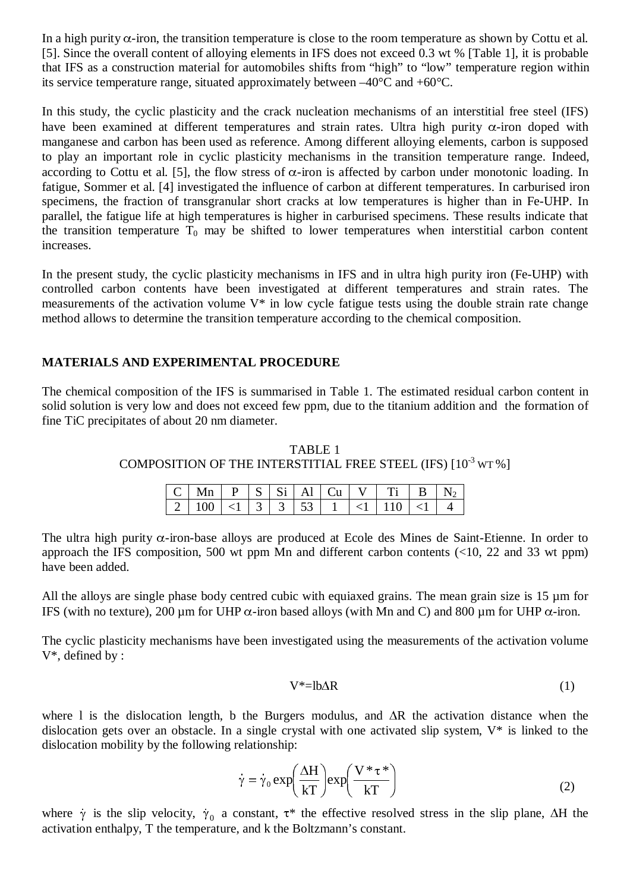In a high purity  $\alpha$ -iron, the transition temperature is close to the room temperature as shown by Cottu et al. [5]. Since the overall content of alloying elements in IFS does not exceed 0.3 wt % [Table 1], it is probable that IFS as a construction material for automobiles shifts from "high" to "low" temperature region within its service temperature range, situated approximately between –40°C and +60°C.

In this study, the cyclic plasticity and the crack nucleation mechanisms of an interstitial free steel (IFS) have been examined at different temperatures and strain rates. Ultra high purity  $\alpha$ -iron doped with manganese and carbon has been used as reference. Among different alloying elements, carbon is supposed to play an important role in cyclic plasticity mechanisms in the transition temperature range. Indeed, according to Cottu et al. [5], the flow stress of  $\alpha$ -iron is affected by carbon under monotonic loading. In fatigue, Sommer et al. [4] investigated the influence of carbon at different temperatures. In carburised iron specimens, the fraction of transgranular short cracks at low temperatures is higher than in Fe-UHP. In parallel, the fatigue life at high temperatures is higher in carburised specimens. These results indicate that the transition temperature  $T_0$  may be shifted to lower temperatures when interstitial carbon content increases.

In the present study, the cyclic plasticity mechanisms in IFS and in ultra high purity iron (Fe-UHP) with controlled carbon contents have been investigated at different temperatures and strain rates. The measurements of the activation volume V\* in low cycle fatigue tests using the double strain rate change method allows to determine the transition temperature according to the chemical composition.

## **MATERIALS AND EXPERIMENTAL PROCEDURE**

The chemical composition of the IFS is summarised in Table 1. The estimated residual carbon content in solid solution is very low and does not exceed few ppm, due to the titanium addition and the formation of fine TiC precipitates of about 20 nm diameter.

TABLE 1 COMPOSITION OF THE INTERSTITIAL FREE STEEL (IFS)  $\lceil 10^{-3} \,\text{wr}\, \text{\%}\,\rceil$ 

| $ C $ Mn $ P S $ Si Al $ Cu V $ Ti $ B N_2 $                                      |  |  |  |  |  |
|-----------------------------------------------------------------------------------|--|--|--|--|--|
| $\mid 2 \mid 100 \mid 1 \mid 3 \mid 3 \mid 53 \mid 1 \mid 110 \mid 1 \mid 4 \mid$ |  |  |  |  |  |

The ultra high purity  $\alpha$ -iron-base alloys are produced at Ecole des Mines de Saint-Etienne. In order to approach the IFS composition, 500 wt ppm Mn and different carbon contents  $\left($ <10, 22 and 33 wt ppm) have been added.

All the alloys are single phase body centred cubic with equiaxed grains. The mean grain size is 15  $\mu$ m for IFS (with no texture), 200 µm for UHP  $\alpha$ -iron based alloys (with Mn and C) and 800 µm for UHP  $\alpha$ -iron.

The cyclic plasticity mechanisms have been investigated using the measurements of the activation volume V\*, defined by :

$$
V^* = lb\Delta R \tag{1}
$$

where 1 is the dislocation length, b the Burgers modulus, and  $\Delta R$  the activation distance when the dislocation gets over an obstacle. In a single crystal with one activated slip system, V\* is linked to the dislocation m dislocation gets over an obstacle. In a single crystal with one activated slip system, V\* is linked to the dislocation mobility by the following relationship:

$$
\dot{\gamma} = \dot{\gamma}_0 \exp\left(\frac{\Delta H}{kT}\right) \exp\left(\frac{V \ast \tau^*}{kT}\right) \tag{2}
$$

where  $\dot{\gamma}$  is the slip velocity,  $\dot{\gamma}_0$  a constant,  $\tau^*$  the effective resolved stress in the slip plane,  $\Delta H$  the activation enthalpy, T the temperature, and k the Boltzmann's constant.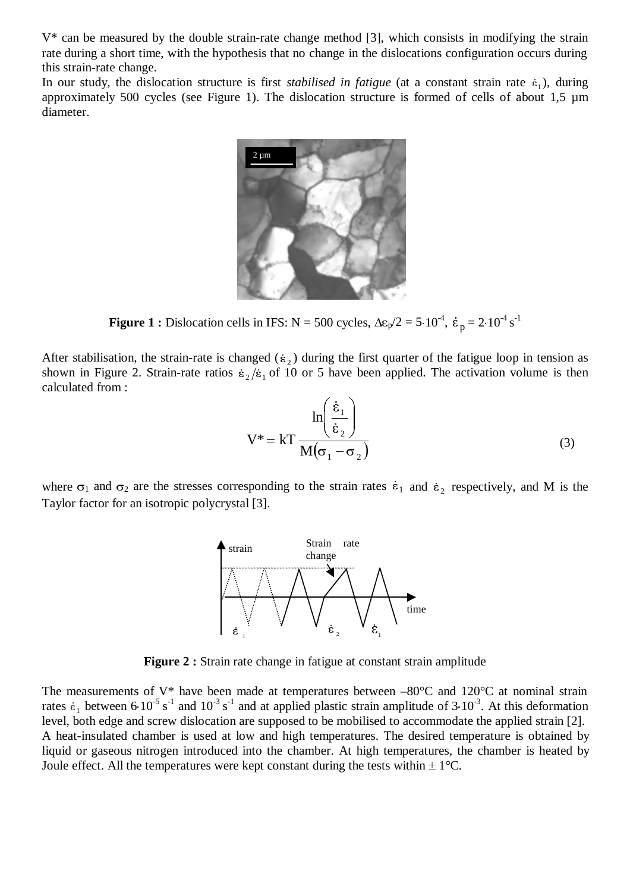V\* can be measured by the double strain-rate change method [3], which consists in modifying the strain rate during a short time, with the hypothesis that no change in the dislocations configuration occurs during this strain-rate change.

In our study, the dislocation structure is first *stabilised in fatigue* (at a constant strain rate  $\varepsilon_1$ ), during approximately 500 cycles (see Figure 1). The dislocation structure is formed of cells of about 1,5 µm diameter.



-1  $\overline{\phantom{a}}$ 

**Figure 1 :** Dislocation cells in IFS:  $N = 500$  cycles,  $\Delta \epsilon_p / 2 = 5 \cdot 10^{-4}$ ,  $\dot{\epsilon}_p = 2 \cdot 10^{-4}$  s<sup>-1</sup><br>After stabilisation, the strain-rate is changed ( $\dot{\epsilon}_2$ ) during the first quarter of the fatigue loop in tension a **Figure 1 :** Dislocation cells in IFS:  $N = 500$  cycles,  $\Delta \epsilon_p / 2 = 5 \cdot 10^{-4}$ ,  $\dot{\epsilon}_p = 2 \cdot 10^{-4}$  s<sup>-1</sup><br>After stabilisation, the strain-rate is changed ( $\dot{\epsilon}_2$ ) during the first quarter of the fatigue loop in tension a calculated from :

anged 
$$
(\epsilon_2)
$$
 during the first quarter of the fatigue loop in tension  $2/\epsilon_1$  of 10 or 5 have been applied. The activation volume is the

\n
$$
\ln\left(\frac{\dot{\epsilon}_1}{\dot{\epsilon}_2}\right)
$$

\n
$$
V^* = k \ln\left(\frac{\dot{\epsilon}_1}{\sqrt{(\sigma_1 - \sigma_2)}}\right)
$$

\n(3)

where  $\sigma_1$  and  $\sigma_2$  are the stresses corresponding to the strain rates  $\varepsilon_1$  and  $\varepsilon_2$  respectively, and M is the Taylor factor for an isotropic polycrystal [3].



**Figure 2 :** Strain rate change in fatigue at constant strain amplitude

The measurements of  $V^*$  have been made at temperatures between  $-80^{\circ}$ C and  $120^{\circ}$ C at nominal strain Figure 2 : Strain rate change in fatigue at constant strain amplitude<br>The measurements of V\* have been made at temperatures between -80°C and 120°C at nominal strain<br>rates  $\varepsilon_1$  between 6.10<sup>-5</sup> s<sup>-1</sup> and 10<sup>-3</sup> s<sup>-1</sup> a level, both edge and screw dislocation are supposed to be mobilised to accommodate the applied strain [2]. A heat-insulated chamber is used at low and high temperatures. The desired temperature is obtained by liquid or gaseous nitrogen introduced into the chamber. At high temperatures, the chamber is heated by Joule effect. All the temperatures were kept constant during the tests within  $\pm 1^{\circ}$ C.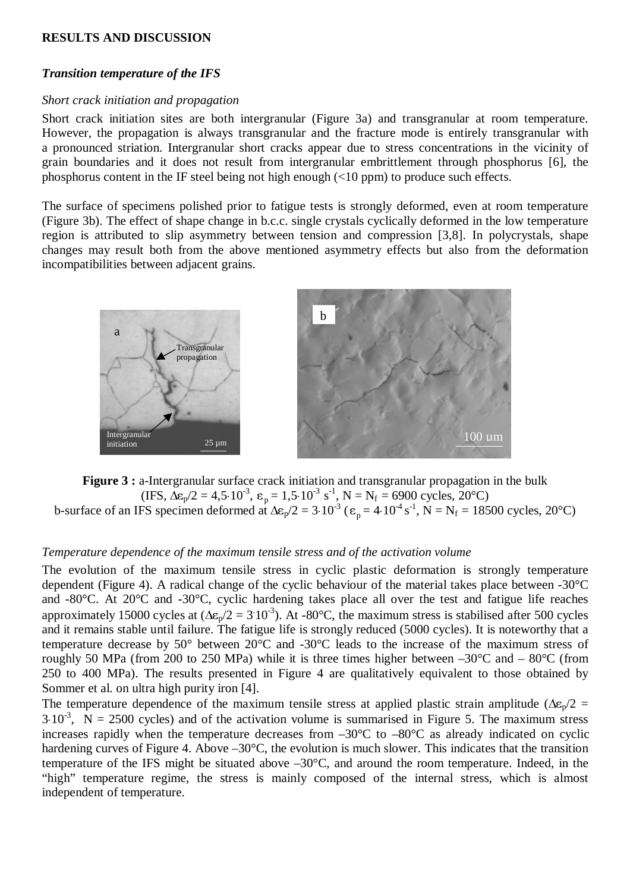### **RESULTS AND DISCUSSION**

#### *Transition temperature of the IFS*

#### *Short crack initiation and propagation*

Short crack initiation sites are both intergranular (Figure 3a) and transgranular at room temperature. However, the propagation is always transgranular and the fracture mode is entirely transgranular with a pronounced striation. Intergranular short cracks appear due to stress concentrations in the vicinity of grain boundaries and it does not result from intergranular embrittlement through phosphorus [6], the phosphorus content in the IF steel being not high enough (<10 ppm) to produce such effects.

The surface of specimens polished prior to fatigue tests is strongly deformed, even at room temperature (Figure 3b). The effect of shape change in b.c.c. single crystals cyclically deformed in the low temperature region is attributed to slip asymmetry between tension and compression [3,8]. In polycrystals, shape changes may result both from the above mentioned asymmetry effects but also from the deformation incompatibilities between adjacent grains.



**Figure 3 :** a-Intergranular surface crack initiation and transgranular propagation in the bulk Figure 3 : a-Intergranular surface crack initiation and transgranular propagation in the bulk<br>
(IFS,  $\Delta \epsilon_p/2 = 4,5 \cdot 10^{-3}$ ,  $\epsilon_p = 1,5 \cdot 10^{-3}$  s<sup>-1</sup>, N = N<sub>f</sub> = 6900 cycles, 20°C)<br>
b-surface of an IFS specimen deformed a

### *Temperature dependence of the maximum tensile stress and of the activation volume*

The evolution of the maximum tensile stress in cyclic plastic deformation is strongly temperature dependent (Figure 4). A radical change of the cyclic behaviour of the material takes place between -30°C and -80°C. At 20°C and -30°C, cyclic hardening takes place all over the test and fatigue life reaches approximately 15000 cycles at  $(\Delta \epsilon_p/2 = 3.10^{-3})$ . At -80°C, the maximum stress is stabilised after 500 cycles and it remains stable until failure. The fatigue life is strongly reduced (5000 cycles). It is noteworthy that a temperature decrease by  $50^{\circ}$  between  $20^{\circ}$ C and  $-30^{\circ}$ C leads to the increase of the maximum stress of roughly 50 MPa (from 200 to 250 MPa) while it is three times higher between  $-30^{\circ}$ C and  $-80^{\circ}$ C (from 250 to 400 MPa). The results presented in Figure 4 are qualitatively equivalent to those obtained by Sommer et al. on ultra high purity iron [4].

The temperature dependence of the maximum tensile stress at applied plastic strain amplitude ( $\Delta \epsilon_p/2$  =  $3.10^{-3}$ , N = 2500 cycles) and of the activation volume is summarised in Figure 5. The maximum stress increases rapidly when the temperature decreases from –30°C to –80°C as already indicated on cyclic hardening curves of Figure 4. Above –30°C, the evolution is much slower. This indicates that the transition temperature of the IFS might be situated above –30°C, and around the room temperature. Indeed, in the "high" temperature regime, the stress is mainly composed of the internal stress, which is almost independent of temperature.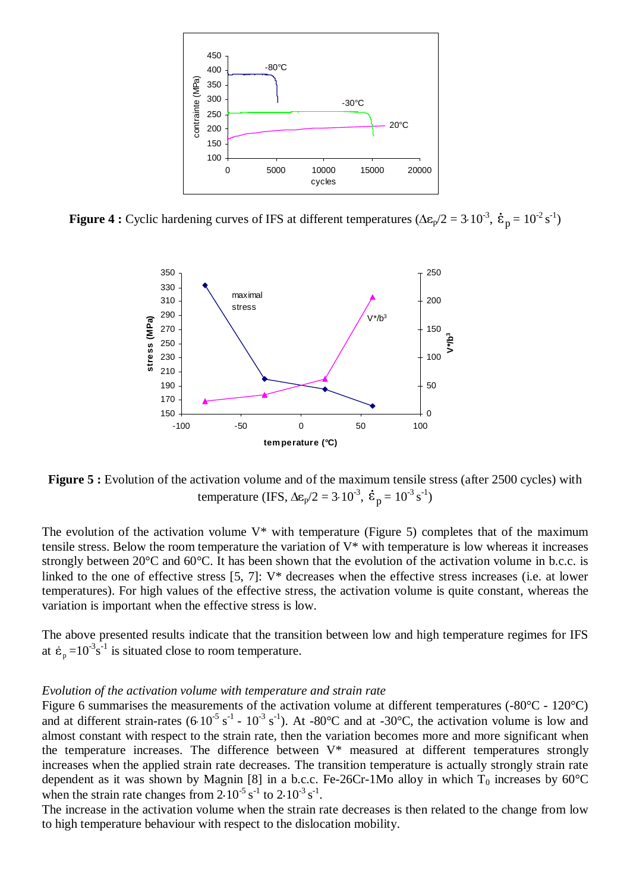



**Figure 5 :** Evolution of the activation volume and of the maximum tensile stress (after 2500 cycles) with

The evolution of the activation volume  $V^*$  with temperature (Figure 5) completes that of the maximum tensile stress. Below the room temperature the variation of V\* with temperature is low whereas it increases strongly between 20°C and 60°C. It has been shown that the evolution of the activation volume in b.c.c. is linked to the one of effective stress [5, 7]: V\* decreases when the effective stress increases (i.e. at lower temperatures). For high values of the effective stress, the activation volume is quite constant, whereas the variation is important when the effective stress is low. finked to the one of effective stress [5, 7]:  $V^*$  dec<br>temperatures). For high values of the effective stress<br>variation is important when the effective stress is lo<br>The above presented results indicate that the transi<br>at

The above presented results indicate that the transition between low and high temperature regimes for IFS

#### *Evolution of the activation volume with temperature and strain rate*

Figure 6 summarises the measurements of the activation volume at different temperatures (-80°C - 120°C) and at different strain-rates  $(6.10^{-5} \text{ s}^{-1} - 10^{-3} \text{ s}^{-1})$ . At -80°C and at -30°C, the activation volume is low and almost constant with respect to the strain rate, then the variation becomes more and more significant when the temperature increases. The difference between  $V^*$  measured at different temperatures strongly increases when the applied strain rate decreases. The transition temperature is actually strongly strain rate dependent as it was shown by Magnin [8] in a b.c.c. Fe-26Cr-1Mo alloy in which  $T_0$  increases by 60°C increases when the applied strain rate decreases. The dependent as it was shown by Magnin [8] in a b.c. when the strain rate changes from  $2.10^{-5}$  s<sup>-1</sup> to  $2.10^{-3}$  s when the strain rate changes from  $2.10^{-5}$  s<sup>-1</sup> to  $2.10^{-3}$  s<sup>-1</sup>.

The increase in the activation volume when the strain rate decreases is then related to the change from low to high temperature behaviour with respect to the dislocation mobility.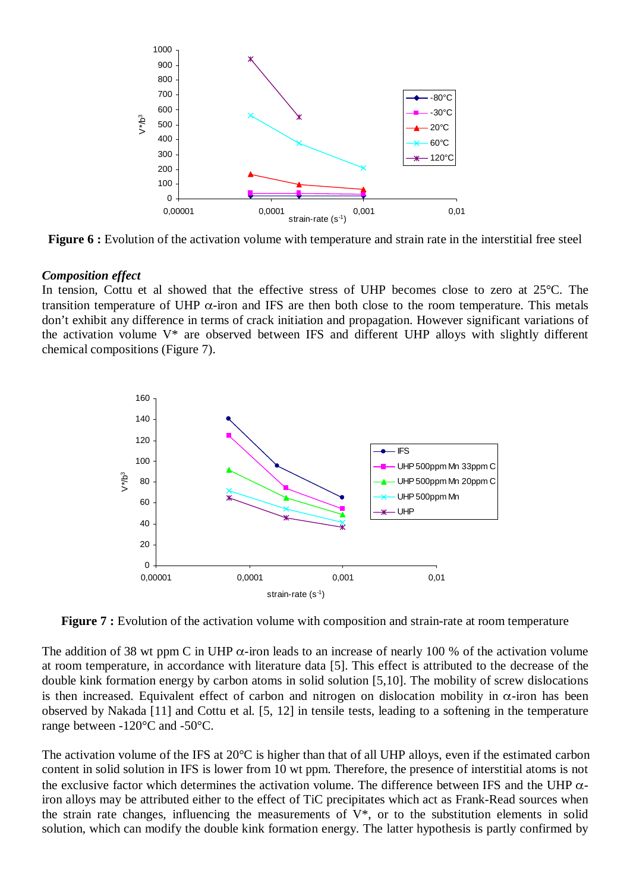

**Figure 6 :** Evolution of the activation volume with temperature and strain rate in the interstitial free steel

#### *Composition effect*

In tension, Cottu et al showed that the effective stress of UHP becomes close to zero at 25°C. The transition temperature of UHP  $\alpha$ -iron and IFS are then both close to the room temperature. This metals don't exhibit any difference in terms of crack initiation and propagation. However significant variations of the activation volume V\* are observed between IFS and different UHP alloys with slightly different chemical compositions (Figure 7).



**Figure 7 :** Evolution of the activation volume with composition and strain-rate at room temperature

The addition of 38 wt ppm C in UHP  $\alpha$ -iron leads to an increase of nearly 100 % of the activation volume at room temperature, in accordance with literature data [5]. This effect is attributed to the decrease of the double kink formation energy by carbon atoms in solid solution [5,10]. The mobility of screw dislocations is then increased. Equivalent effect of carbon and nitrogen on dislocation mobility in  $\alpha$ -iron has been observed by Nakada [11] and Cottu et al. [5, 12] in tensile tests, leading to a softening in the temperature range between -120°C and -50°C.

The activation volume of the IFS at 20°C is higher than that of all UHP alloys, even if the estimated carbon content in solid solution in IFS is lower from 10 wt ppm. Therefore, the presence of interstitial atoms is not the exclusive factor which determines the activation volume. The difference between IFS and the UHP  $\alpha$ iron alloys may be attributed either to the effect of TiC precipitates which act as Frank-Read sources when the strain rate changes, influencing the measurements of  $V^*$ , or to the substitution elements in solid solution, which can modify the double kink formation energy. The latter hypothesis is partly confirmed by